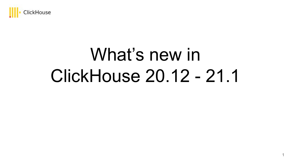

# What's new in ClickHouse 20.12 - 21.1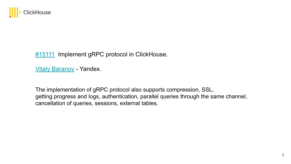

[#15111](https://github.com/ClickHouse/ClickHouse/pull/15111) Implement gRPC protocol in ClickHouse.

[Vitaly Baranov](https://github.com/vitlibar) - Yandex.

The implementation of gRPC protocol also supports compression, SSL, getting progress and logs, authentication, parallel queries through the same channel, cancellation of queries, sessions, external tables.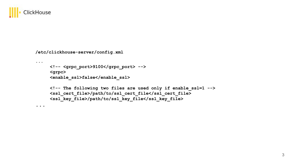

**...**

**...**

**/etc/clickhouse-server/config.xml**

```
<!-- <grpc_port>9100</grpc_port> -->
<grpc>
 <enable_ssl>false</enable_ssl>
 <!-- The following two files are used only if enable_ssl=1 -->
 <ssl_cert_file>/path/to/ssl_cert_file</ssl_cert_file>
 <ssl_key_file>/path/to/ssl_key_file</ssl_key_file>
```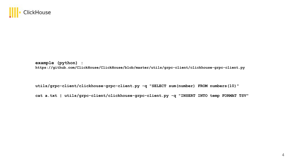

**example (python) :** 

**https://github.com/ClickHouse/ClickHouse/blob/master/utils/grpc-client/clickhouse-grpc-client.py**

**utils/grpc-client/clickhouse-grpc-client.py -q "SELECT sum(number) FROM numbers(10)"**

**cat a.txt | utils/grpc-client/clickhouse-grpc-client.py -q "INSERT INTO temp FORMAT TSV"**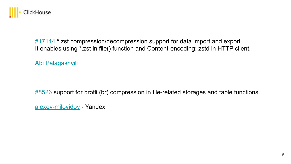

[#17144](https://github.com/ClickHouse/ClickHouse/pull/17144) \* zst compression/decompression support for data import and export. It enables using \*.zst in file() function and Content-encoding: zstd in HTTP client.

[Abi Palagashvili](https://github.com/fibersel)

[#8526](https://github.com/ClickHouse/ClickHouse/pull/8526) support for brotli (br) compression in file-related storages and table functions.

[alexey-milovidov](https://github.com/alexey-milovidov) - Yandex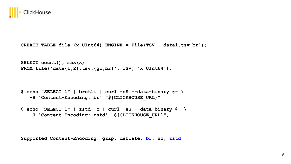

```
CREATE TABLE file (x UInt64) ENGINE = File(TSV, 'data1.tsv.br');
```

```
SELECT count(), max(x) 
FROM file('data{1,2}.tsv.{gz,br}', TSV, 'x UInt64');
```

```
$ echo "SELECT 1" | brotli | curl -sS --data-binary @- \ 
    -H 'Content-Encoding: br' "${CLICKHOUSE_URL}"
```

```
$ echo "SELECT 1" | zstd -c | curl -sS --data-binary @- \ 
    -H 'Content-Encoding: zstd' "${CLICKHOUSE_URL}";
```
**Supported Content-Encoding: gzip, deflate, br, xz, zstd**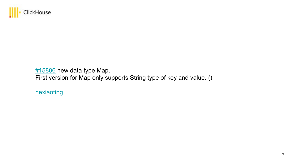

[#15806](https://github.com/ClickHouse/ClickHouse/pull/15806) new data type Map.

First version for Map only supports String type of key and value. ().

[hexiaoting](https://github.com/hexiaoting)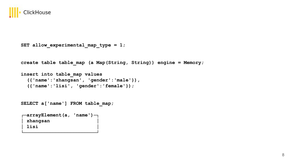

```
SET allow experimental map type = 1;
```

```
create table table_map (a Map(String, String)) engine = Memory;
```

```
insert into table_map values 
   ({'name':'zhangsan', 'gender':'male'}), 
   ({'name':'lisi', 'gender':'female'});
```
**SELECT a['name'] FROM table\_map;**

```
┌─arrayElement(a, 'name')─┐
 │ zhangsan │
 │ lisi │
```
**└─────────────────────────┘**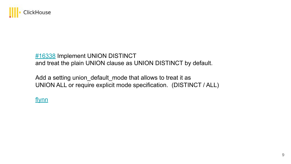

#### [#16338](https://github.com/ClickHouse/ClickHouse/pull/16338) Implement UNION DISTINCT and treat the plain UNION clause as UNION DISTINCT by default.

Add a setting union\_default\_mode that allows to treat it as UNION ALL or require explicit mode specification[.](https://github.com/ClickHouse/ClickHouse/pull/16338) (DISTINCT / ALL)

[flynn](https://github.com/ucasFL)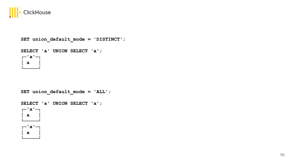

**└─────┘**

```
SET union_default_mode = 'DISTINCT';
SELECT 'a' UNION SELECT 'a';
┌─'a'─┐
 │ a │
└─────┘
```

```
SET union_default_mode = 'ALL';
SELECT 'a' UNION SELECT 'a';
┌─'a'─┐
 │ a │
└─────┘
 ┌─'a'─┐
 │ a │
```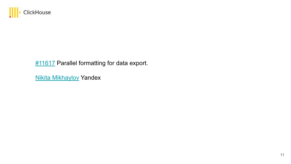

### **[#11617](https://github.com/ClickHouse/ClickHouse/pull/11617)** Parallel formatting for data export.

[Nikita Mikhaylov](https://github.com/nikitamikhaylov) Yandex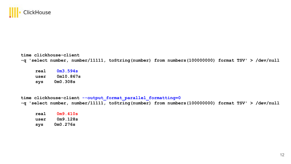

**time clickhouse-client -q 'select number, number/11111, toString(number) from numbers(100000000) format TSV' > /dev/null**

**real 0m3.594s user 0m10.867s sys 0m0.308s**

**time clickhouse-client --output\_format\_parallel\_formatting=0 -q 'select number, number/11111, toString(number) from numbers(100000000) format TSV' > /dev/null**

**real 0m9.410s user 0m9.128s sys 0m0.276s**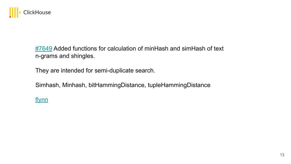

[#7649](https://github.com/ClickHouse/ClickHouse/pull/7649) Added functions for calculation of minHash and simHash of text n-grams and shingles.

They are intended for semi-duplicate search.

Simhash, Minhash, bitHammingDistance, tupleHammingDistance

#### [flynn](https://github.com/ucasFL)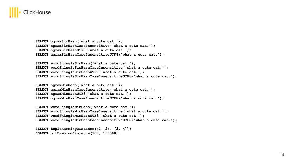

```
SELECT ngramSimHash('what a cute cat.'); 
SELECT ngramSimHashCaseInsensitive('what a cute cat.'); 
SELECT ngramSimHashUTF8('what a cute cat.'); 
SELECT ngramSimHashCaseInsensitiveUTF8('what a cute cat.');
```

```
SELECT wordShingleSimHash('what a cute cat.'); 
SELECT wordShingleSimHashCaseInsensitive('what a cute cat.'); 
SELECT wordShingleSimHashUTF8('what a cute cat.'); 
SELECT wordShingleSimHashCaseInsensitiveUTF8('what a cute cat.');
```

```
SELECT ngramMinHash('what a cute cat.'); 
SELECT ngramMinHashCaseInsensitive('what a cute cat.'); 
SELECT ngramMinHashUTF8('what a cute cat.'); 
SELECT ngramMinHashCaseInsensitiveUTF8('what a cute cat.');
```

```
SELECT wordShingleMinHash('what a cute cat.'); 
SELECT wordShingleMinHashCaseInsensitive('what a cute cat.');
SELECT wordShingleMinHashUTF8('what a cute cat.');
SELECT wordShingleMinHashCaseInsensitiveUTF8('what a cute cat.');
```

```
SELECT tupleHammingDistance((1, 2), (3, 4));
SELECT bitHammingDistance(100, 100000);
```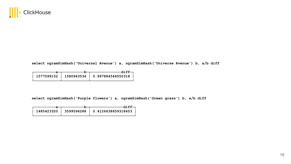

**select ngramSimHash('Universal Avenue') a, ngramSimHash('Universe Avenue') b, a/b diff**

|  | — diff—                                     |
|--|---------------------------------------------|
|  | 1577599152   1580943536   0.997884564550318 |
|  |                                             |

**select ngramSimHash('Purple flowers') a, ngramSimHash('Green grass') b, a/b diff**

|  | — diff—                                      |
|--|----------------------------------------------|
|  |                                              |
|  | 1485423320   3599596288   0.4126638659318453 |
|  |                                              |
|  |                                              |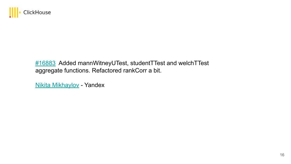

#### [#16883](https://github.com/ClickHouse/ClickHouse/pull/16883) Added mannWitneyUTest, studentTTest and welchTTest aggregate functions. Refactored rankCorr a bit.

[Nikita Mikhaylov](https://github.com/nikitamikhaylov) - Yandex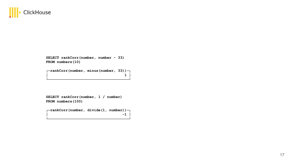

**SELECT rankCorr(number, number - 33) FROM numbers(10)**

**┌─rankCorr(number, minus(number, 33))─┐ │ 1 │ └─────────────────────────────────────┘**

**SELECT rankCorr(number, 1 / number) FROM numbers(100)**

**┌─rankCorr(number, divide(1, number))─┐ │ -1 │ └─────────────────────────────────────┘**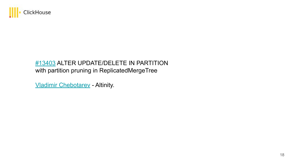

#### [#13403](https://github.com/ClickHouse/ClickHouse/pull/13403) ALTER UPDATE/DELETE IN PARTITION with partition pruning in ReplicatedMergeTree

[Vladimir Chebotarev](https://github.com/excitoon) - Altinity.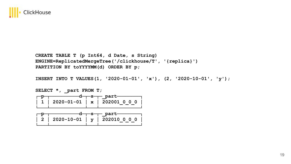

**CREATE TABLE T (p Int64, d Date, s String) ENGINE=ReplicatedMergeTree('/clickhouse/T', '{replica}') PARTITION BY toYYYYMM(d) ORDER BY p;**

**INSERT INTO T VALUES(1, '2020-01-01', 'x'), (2, '2020-10-01', 'y');**

SELECT \*, part FROM T; ┌─p─┬──────────d─┬─s─┬─\_part─ **│ 1 │ 2020-01-01 │ x │ 202001\_0\_0\_0 │ └───┴────────────┴───┴──────────────┘ \_p─┬─────────d─┬─s**─┬─\_part─ **│ 2 │ 2020-10-01 │ y │ 202010\_0\_0\_0 │ └───┴────────────┴───┴──────────────┘**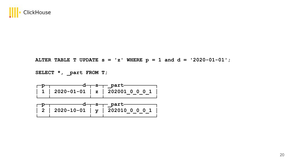

**ALTER TABLE T UPDATE s = 'z' WHERE p = 1 and d = '2020-01-01';**

**SELECT \*, \_part FROM T;**

| $p$ p $q$ s $p$ part |                                           |
|----------------------|-------------------------------------------|
|                      | $  1   2020-01-01   z   202001 0 0 0 1  $ |
|                      |                                           |

| $p$ p $q$ s $p$ part |                                             |
|----------------------|---------------------------------------------|
|                      | $\vert$ 2   2020-10-01   y   202010_0_0_0_1 |
|                      |                                             |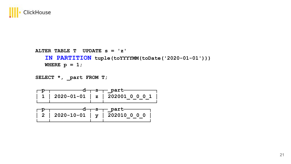

**ALTER TABLE T UPDATE s = 'z' IN PARTITION tuple(toYYYYMM(toDate('2020-01-01'))) WHERE**  $p = 1$ ;

```
SELECT *, part FROM T;
```

| $p$ p $q$ s $p$ part |                                           |
|----------------------|-------------------------------------------|
|                      | $  1   2020-01-01   z   202001 0 0 0 1  $ |
|                      |                                           |

| $p$ p $q$ s $q$ part |                                           |
|----------------------|-------------------------------------------|
|                      | $\vert$ 2   2020-10-01   y   202010 0 0 0 |
|                      |                                           |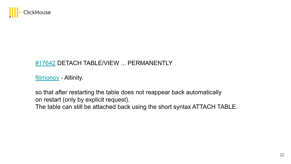

#### [#17642](https://github.com/ClickHouse/ClickHouse/pull/17642) DETACH TABLE/VIEW ... PERMANENTLY

[filimonov](https://github.com/filimonov) - Altinity.

so that after restarting the table does not reappear back automatically on restart (only by explicit request).

The table can still be attached back using the short syntax ATTACH TABLE.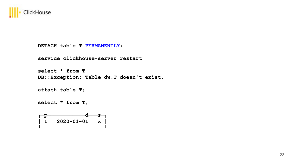

**DETACH table T PERMANENTLY;**

**service clickhouse-server restart**

**select \* from T DB::Exception: Table dw.T doesn't exist.**

**attach table T;**

**select \* from T;**

| $1   2020 - 01 - 01   x$ |  |
|--------------------------|--|
|                          |  |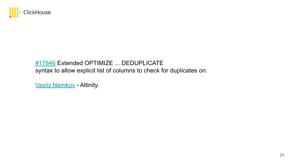

#### [#17846](https://github.com/ClickHouse/ClickHouse/pull/17846) Extended OPTIMIZE ... DEDUPLICATE syntax to allow explicit list of columns to check for duplicates on.

[Vasily Nemkov](https://github.com/Enmk) - Altinity.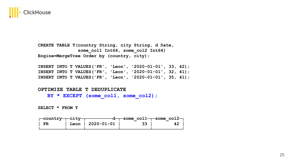

**CREATE TABLE T(country String, city String, d Date,**  some col1 Int64, some col2 Int64) **Engine=MergeTree Order by (country, city);**

**INSERT INTO T VALUES('FR', 'Leon', '2020-01-01', 33, 42); INSERT INTO T VALUES('FR', 'Leon', '2020-01-01', 32, 41); INSERT INTO T VALUES('FR', 'Leon', '2020-01-01', 35, 41);**

#### **OPTIMIZE TABLE T DEDUPLICATE**

BY \* EXCEPT (some col1, some col2);

**SELECT \* FROM T**

|        |                   |                 | $\leftarrow$ country- $\leftarrow$ city- $\leftarrow$ d- $\leftarrow$ some coll- $\leftarrow$ some col2- |
|--------|-------------------|-----------------|----------------------------------------------------------------------------------------------------------|
| $ $ FR | Leon   2020-01-01 | 33 <sup>1</sup> | 42                                                                                                       |
|        |                   |                 |                                                                                                          |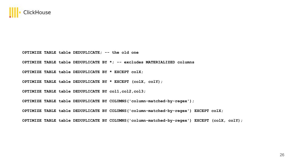

**OPTIMIZE TABLE table DEDUPLICATE; -- the old one**

**OPTIMIZE TABLE table DEDUPLICATE BY \*; -- excludes MATERIALIZED columns** 

**OPTIMIZE TABLE table DEDUPLICATE BY \* EXCEPT colX;**

**OPTIMIZE TABLE table DEDUPLICATE BY \* EXCEPT (colX, colY);**

**OPTIMIZE TABLE table DEDUPLICATE BY col1,col2,col3;**

**OPTIMIZE TABLE table DEDUPLICATE BY COLUMNS('column-matched-by-regex');**

**OPTIMIZE TABLE table DEDUPLICATE BY COLUMNS('column-matched-by-regex') EXCEPT colX;**

**OPTIMIZE TABLE table DEDUPLICATE BY COLUMNS('column-matched-by-regex') EXCEPT (colX, colY);**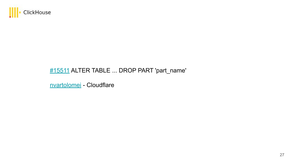

## [#15511](https://github.com/ClickHouse/ClickHouse/pull/15511) ALTER TABLE ... DROP PART 'part\_name'

[nvartolomei](https://github.com/nvartolomei) - Cloudflare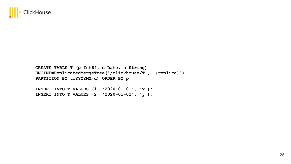

**CREATE TABLE T (p Int64, d Date, s String) ENGINE=ReplicatedMergeTree('/clickhouse/T', '{replica}') PARTITION BY toYYYYMM(d) ORDER BY p;**

**INSERT INTO T VALUES (1, '2020-01-01', 'x'); INSERT INTO T VALUES (2, '2020-01-02', 'y');**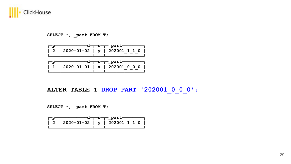

**SELECT \*, \_part FROM T;**

|  | ———d———s——— part——<br>$2   2020-01-02   y   202001 1 1 0$ |
|--|-----------------------------------------------------------|
|  | $1   2020-01-01   x   202001 0 0 0$                       |

**ALTER TABLE T DROP PART '202001\_0\_0\_0';**

**SELECT \*, \_part FROM T;**

| $\overline{P}$ |  | ——d——s—— part——                     |
|----------------|--|-------------------------------------|
|                |  | 2   2020-01-02   $y$   202001 1 1 0 |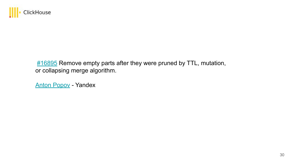

**#16895** Remove empty parts after they were pruned by TTL, mutation, or collapsing merge algorithm.

[Anton Popov](https://github.com/CurtizJ) - Yandex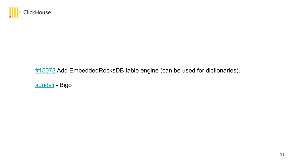

### [#15073](https://github.com/ClickHouse/ClickHouse/pull/15073) Add EmbeddedRocksDB table engine (can be used for dictionaries)[.](https://github.com/ClickHouse/ClickHouse/pull/15073)

[sundyli](https://github.com/sundy-li) - Bigo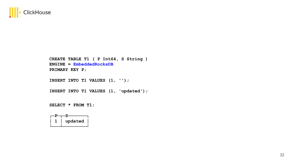

**CREATE TABLE T1 ( P Int64, S String ) ENGINE = EmbeddedRocksDB PRIMARY KEY P;**

**INSERT INTO T1 VALUES (1, '');**

**INSERT INTO T1 VALUES (1, 'updated');**

**SELECT \* FROM T1;**

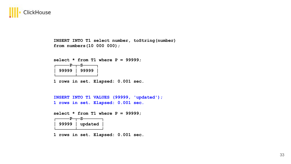

**INSERT INTO T1 select number, toString(number) from numbers(10 000 000);**

**select \* from T1 where P = 99999;**

| 99999 | 99999 |
|-------|-------|
|       |       |

**1 rows in set. Elapsed: 0.001 sec.**

```
INSERT INTO T1 VALUES (99999, 'updated');
1 rows in set. Elapsed: 0.001 sec.
```
**select \* from T1 where P = 99999;**

| 99999 | updated |
|-------|---------|
|       |         |

**1 rows in set. Elapsed: 0.001 sec.**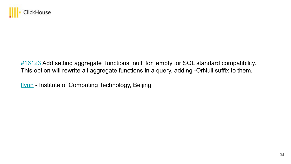

[#16123](https://github.com/ClickHouse/ClickHouse/pull/16123) Add setting aggregate\_functions\_null\_for\_empty for SQL standard compatibility. This option will rewrite all aggregate functions in a query, adding -OrNull suffix to them.

[flynn](https://github.com/ucasFL) - Institute of Computing Technology, Beijing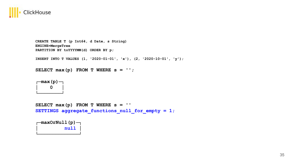

```
CREATE TABLE T (p Int64, d Date, s String)
ENGINE=MergeTree
PARTITION BY toYYYYMM(d) ORDER BY p;
```
**INSERT INTO T VALUES (1, '2020-01-01', 'x'), (2, '2020-10-01', 'y');**

**SELECT max(p) FROM T WHERE s = '';**



```
SELECT max(p) FROM T WHERE s = '' 
SETTINGS aggregate_functions_null_for_empty = 1;
```
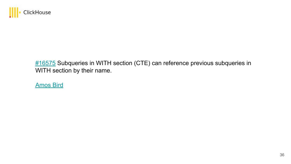

#### [#16575](https://github.com/ClickHouse/ClickHouse/pull/16575) Subqueries in WITH section (CTE) can reference previous subqueries in WITH section by their name.

[Amos Bird](https://github.com/amosbird)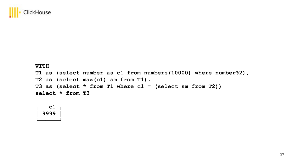

#### **WITH**

**T1 as (select number as c1 from numbers(10000) where number%2), T2 as (select max(c1) sm from T1), T3 as (select \* from T1 where c1 = (select sm from T2)) select \* from T3**

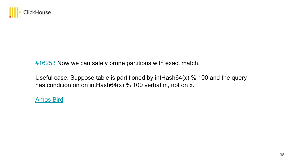

 $\frac{\#16253}{\#16253}$  Now we can safely prune partitions with exact match.

Useful case: Suppose table is partitioned by intHash64(x) % 100 and the query has condition on on intHash64(x) % 100 verbatim, not on x.

[Amos Bird](https://github.com/amosbird)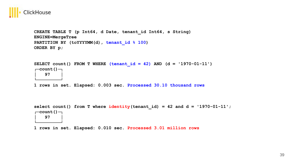

**CREATE TABLE T (p Int64, d Date, tenant\_id Int64, s String) ENGINE=MergeTree**  PARTITION BY (toYYYYMM(d), tenant id  $% 100$ ) **ORDER BY p;**

```
SELECT count() FROM T WHERE (tenant id = 42) AND (d = '1970-01-11')┌─count()─┐
    │ 97 │
└─────────┘
```
**1 rows in set. Elapsed: 0.003 sec. Processed 30.10 thousand rows**

select count() from T where  $identity(tenant id) = 42$  and  $d = '1970-01-11'$ ; **┌─count()─┐ │ 97 │ └─────────┘**

**1 rows in set. Elapsed: 0.010 sec. Processed 3.01 million rows**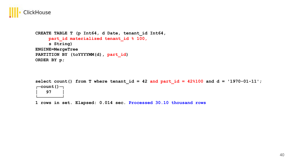

**CREATE TABLE T (p Int64, d Date, tenant\_id Int64, part\_id materialized tenant\_id % 100, s String) ENGINE=MergeTree** PARTITION BY (toYYYYMM(d), part id) **ORDER BY p;**

select count() from T where tenant  $id = 42$  and part  $id = 42%100$  and  $d = '1970-01-11'$ ; **┌─count()─┐ │ 97 │ └─────────┘**

**1 rows in set. Elapsed: 0.014 sec. Processed 30.10 thousand rows**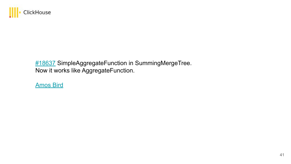

[#18637](https://github.com/ClickHouse/ClickHouse/pull/18637) SimpleAggregateFunction in SummingMergeTree. Now it works like AggregateFunction.

[Amos Bird](https://github.com/amosbird)